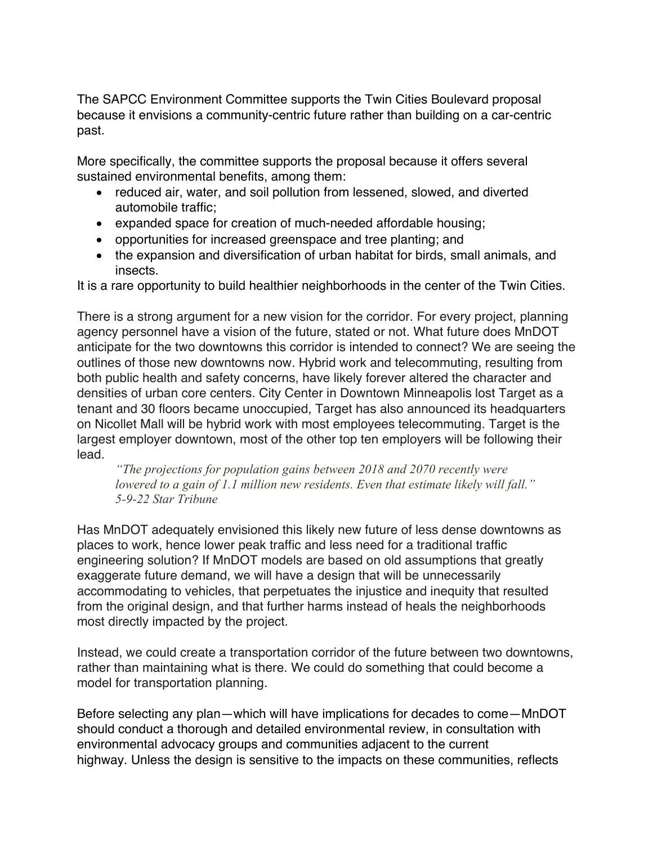The SAPCC Environment Committee supports the Twin Cities Boulevard proposal because it envisions a community-centric future rather than building on a car-centric past.

More specifically, the committee supports the proposal because it offers several sustained environmental benefits, among them:

- reduced air, water, and soil pollution from lessened, slowed, and diverted automobile traffic;
- expanded space for creation of much-needed affordable housing;
- opportunities for increased greenspace and tree planting; and
- the expansion and diversification of urban habitat for birds, small animals, and insects.

It is a rare opportunity to build healthier neighborhoods in the center of the Twin Cities.

There is a strong argument for a new vision for the corridor. For every project, planning agency personnel have a vision of the future, stated or not. What future does MnDOT anticipate for the two downtowns this corridor is intended to connect? We are seeing the outlines of those new downtowns now. Hybrid work and telecommuting, resulting from both public health and safety concerns, have likely forever altered the character and densities of urban core centers. City Center in Downtown Minneapolis lost Target as a tenant and 30 floors became unoccupied, Target has also announced its headquarters on Nicollet Mall will be hybrid work with most employees telecommuting. Target is the largest employer downtown, most of the other top ten employers will be following their lead.

*"The projections for population gains between 2018 and 2070 recently were lowered to a gain of 1.1 million new residents. Even that estimate likely will fall." 5-9-22 Star Tribune*

Has MnDOT adequately envisioned this likely new future of less dense downtowns as places to work, hence lower peak traffic and less need for a traditional traffic engineering solution? If MnDOT models are based on old assumptions that greatly exaggerate future demand, we will have a design that will be unnecessarily accommodating to vehicles, that perpetuates the injustice and inequity that resulted from the original design, and that further harms instead of heals the neighborhoods most directly impacted by the project.

Instead, we could create a transportation corridor of the future between two downtowns, rather than maintaining what is there. We could do something that could become a model for transportation planning.

Before selecting any plan—which will have implications for decades to come—MnDOT should conduct a thorough and detailed environmental review, in consultation with environmental advocacy groups and communities adjacent to the current highway. Unless the design is sensitive to the impacts on these communities, reflects